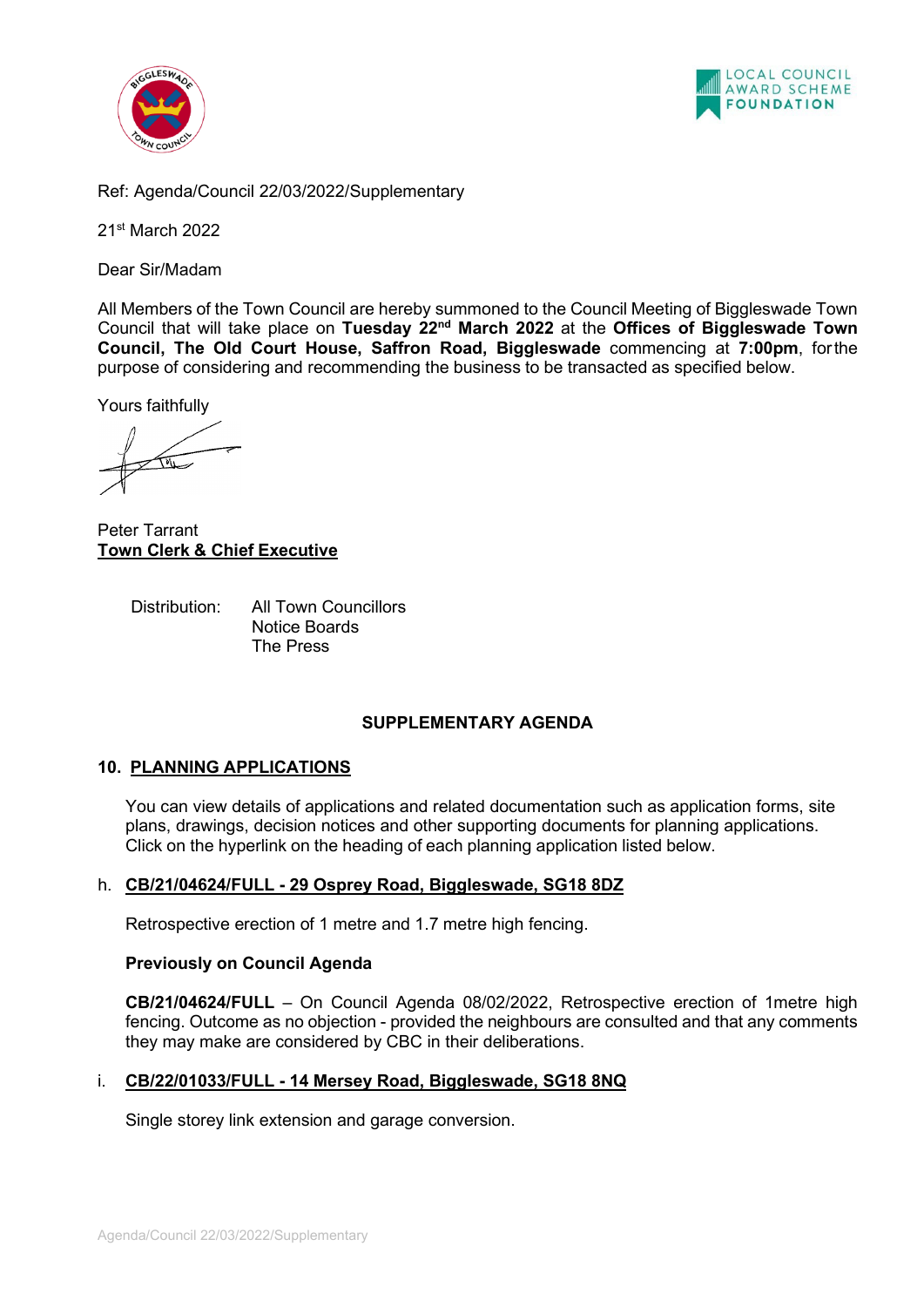



Ref: Agenda/Council 22/03/2022 /Supplementary

21st March 2022

Dear Sir/Madam

All Members of the Town Council are hereby summoned to the Council Meeting of Biggleswade Town Council that will take place on **Tuesday 22nd March 2022** at the **Offices of Biggleswade Town Council, The Old Court House, Saffron Road, Biggleswade** commencing at **7:00pm**, forthe purpose of considering and recommending the business to be transacted as specified below.

Yours faithfully

Peter Tarrant **Town Clerk & Chief Executive**

Distribution: All Town Councillors Notice Boards The Press

## **SUPPLEMENTARY AGENDA**

## **10. PLANNING APPLICATIONS**

You can view details of applications and related documentation such as application forms, site plans, drawings, decision notices and other supporting documents for planning applications. Click on the hyperlink on the heading of each planning application listed below.

## h. **[CB/21/04624/FULL - 29 Osprey Road, Biggleswade, SG18 8DZ](http://cbstor.centralbedfordshire.gov.uk/publicportalviewer/publicViewer.html?caseID=CB/21/04624/FULL)**

Retrospective erection of 1 metre and 1.7 metre high fencing.

## **Previously on Council Agenda**

**CB/21/04624/FULL** – On Council Agenda 08/02/2022, Retrospective erection of 1metre high fencing. Outcome as no objection - provided the neighbours are consulted and that any comments they may make are considered by CBC in their deliberations.

# i. **[CB/22/01033/FULL - 14 Mersey Road, Biggleswade, SG18 8NQ](http://plantech.centralbedfordshire.gov.uk/PLANTECH/DCWebPages/acolnetcgi.gov?ACTION=UNWRAP&RIPNAME=Root.PgeResultDetail&TheSystemkey=628231)**

Single storey link extension and garage conversion.